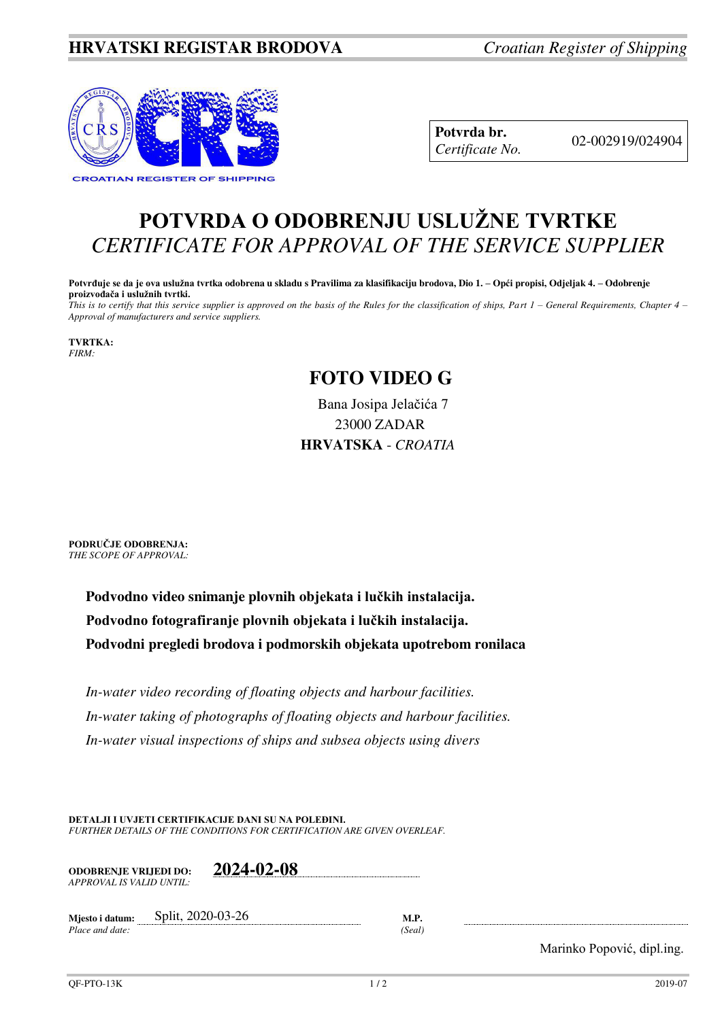## **HRVATSKI REGISTAR BRODOVA** *Croatian Register of Shipping*



**Potvrda br.** 02-002919/024904 *Certificate No.* 

## **POTVRDA O ODOBRENJU USLUŽNE TVRTKE** *CERTIFICATE FOR APPROVAL OF THE SERVICE SUPPLIER*

**Potvrđuje se da je ova uslužna tvrtka odobrena u skladu s Pravilima za klasifikaciju brodova, Dio 1. – Opći propisi, Odjeljak 4. – Odobrenje proizvođača i uslužnih tvrtki.**

*This is to certify that this service supplier is approved on the basis of the Rules for the classification of ships, Part 1 – General Requirements, Chapter 4 – Approval of manufacturers and service suppliers.* 

**TVRTKA:** *FIRM:*

## **FOTO VIDEO G**

Bana Josipa Jelačića 7 23000 ZADAR **HRVATSKA** - *CROATIA*

**PODRUČJE ODOBRENJA:** *THE SCOPE OF APPROVAL:* 

> **Podvodno video snimanje plovnih objekata i lučkih instalacija. Podvodno fotografiranje plovnih objekata i lučkih instalacija. Podvodni pregledi brodova i podmorskih objekata upotrebom ronilaca**

*In-water video recording of floating objects and harbour facilities. In-water taking of photographs of floating objects and harbour facilities. In-water visual inspections of ships and subsea objects using divers* 

**DETALJI I UVJETI CERTIFIKACIJE DANI SU NA POLEĐINI.** *FURTHER DETAILS OF THE CONDITIONS FOR CERTIFICATION ARE GIVEN OVERLEAF.* 

| <b>ODOBRENJE VRLIEDI DO:</b> | 2024-02-08 |
|------------------------------|------------|
| APPROVAL IS VALID UNTIL:     |            |

**Mjesto i datum:** Split, 2020-03-26 **M.P.**  *Place and date: (Seal)* 

Marinko Popović, dipl.ing.